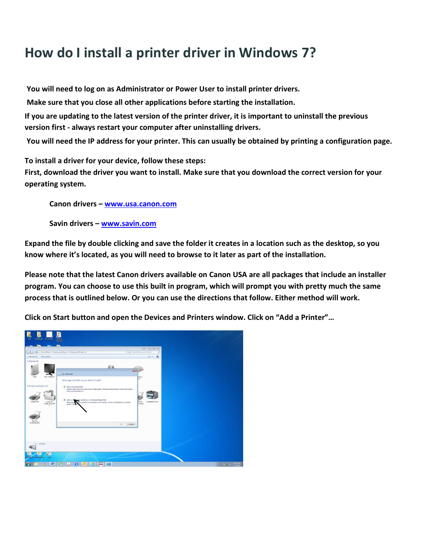## How do I install a printer driver in Windows 7?

You will need to log on as Administrator or Power User to install printer drivers.

Make sure that you close all other applications before starting the installation.

If you are updating to the latest version of the printer driver, it is important to uninstall the previous version first - always restart your computer after uninstalling drivers.

You will need the IP address for your printer. This can usually be obtained by printing a configuration page.

To install a driver for your device, follow these steps:

First, download the driver you want to install. Make sure that you download the correct version for your operating system.

Canon drivers - www.usa.canon.com

Savin drivers – www.savin.com

Expand the file by double clicking and save the folder it creates in a location such as the desktop, so you know where it's located, as you will need to browse to it later as part of the installation.

Please note that the latest Canon drivers available on Canon USA are all packages that include an installer program. You can choose to use this built in program, which will prompt you with pretty much the same process that is outlined below. Or you can use the directions that follow. Either method will work.

Click on Start button and open the Devices and Printers window. Click on "Add a Printer"…

| $\Omega$<br>$2 +$                                     |  |  |
|-------------------------------------------------------|--|--|
| Mouse<br>ы<br>Ift XPS<br>SAVIN 920 PCL 6<br>et Writer |  |  |
|                                                       |  |  |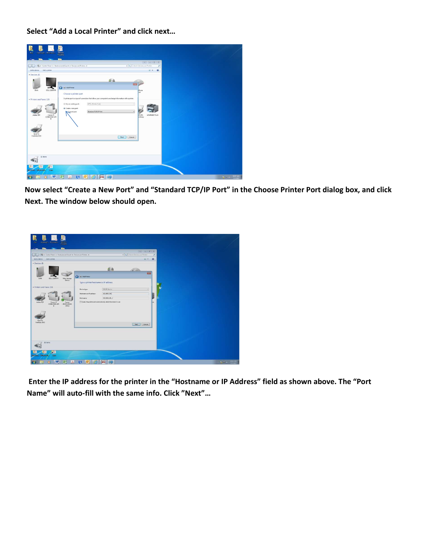Select "Add a Local Printer" and click next…

| <b>IEWEL</b><br>FOLDERS<br>Instanti Hortrad.<br>85 . Control Panel . Hardware and Sound . Devices and Printers .                                                                                                                                                       | $\boxed{0}$ $\boxed{0}$ $\boxed{0}$ $\boxed{1}$<br>$\bullet$ $\overline{\phantom{a}}\phantom{a}$ Search Devices and Printers<br>P                                                                                           |  |
|------------------------------------------------------------------------------------------------------------------------------------------------------------------------------------------------------------------------------------------------------------------------|-----------------------------------------------------------------------------------------------------------------------------------------------------------------------------------------------------------------------------|--|
| Add a device<br>Add a printer                                                                                                                                                                                                                                          | $\bullet$<br>前田                                                                                                                                                                                                             |  |
| G m Add Printer<br>DELL 2208WFP<br>DAN<br>Choose a printer port<br>· Printers and Faxes (10)<br>Use an existing port:<br>LPT1: (Printer Port)<br>Create a new port:<br>Standard TCP/IP Port<br>Type of port:<br>Canon if<br>Adobe FDF<br>×.<br>Send To<br>OneNote 2000 | 50.00<br>Mouse<br><b>kat</b><br>A printer port is a type of connection that allows your computer to exchange information with a printer.<br>$\mathcal{A}$<br>×<br>in xes<br>at Writer<br>SAVIN 920 PCL 6<br>Neit<br>Cancel: |  |
| 18 items<br><b>ALL</b><br>Diversity, Marketsky<br><b>RAMA</b>                                                                                                                                                                                                          |                                                                                                                                                                                                                             |  |

Now select "Create a New Port" and "Standard TCP/IP Port" in the Choose Printer Port dialog box, and click Next. The window below should open.



 Enter the IP address for the printer in the "Hostname or IP Address" field as shown above. The "Port Name" will auto-fill with the same info. Click "Next"…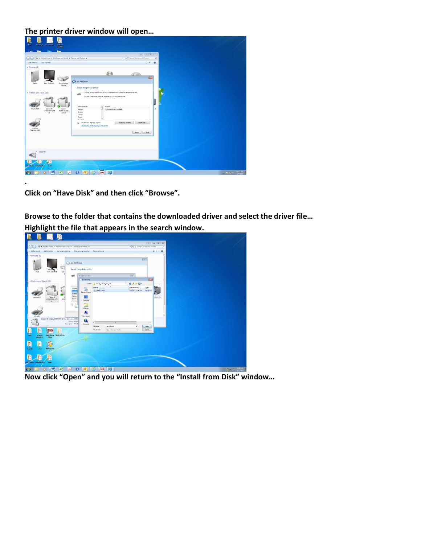## The printer driver window will open…

| SERVICE<br>FOLDERS<br><b>Dan</b><br>Stadings - Filentiach                                                      |                                                                                                                                                                                                                                                                                                                                                                                                            |                                                     |
|----------------------------------------------------------------------------------------------------------------|------------------------------------------------------------------------------------------------------------------------------------------------------------------------------------------------------------------------------------------------------------------------------------------------------------------------------------------------------------------------------------------------------------|-----------------------------------------------------|
| <b>Security</b>                                                                                                | $\Rightarrow$ $\left[ \frac{1}{2}$                                                                                                                                                                                                                                                                                                                                                                         |                                                     |
| Control Panel + Heckner and Sound + Devices and Printers +                                                     | + 4   Search Devices and Printers<br>$\mathcal{P}$                                                                                                                                                                                                                                                                                                                                                         |                                                     |
| <b>CORO</b><br>Add a device Add a printer                                                                      | ■■<br>$\bullet$                                                                                                                                                                                                                                                                                                                                                                                            |                                                     |
| · Devices (8)                                                                                                  |                                                                                                                                                                                                                                                                                                                                                                                                            |                                                     |
| DAN<br>DELL 2208WFP<br>Mass Storage<br>Device                                                                  | d-h<br>田田<br>Ca m Add Printer<br>Install the printer driver                                                                                                                                                                                                                                                                                                                                                |                                                     |
| - Printers and Faxes (10)<br>Adobe PDF<br>Canon iff.<br>Canon<br>C2380/2550 UFR<br>#3235/#3245<br>п<br>Send To | Choose your printer from the list. Click Windows Update to see more models.<br>÷.<br>To install the driver from an installation CD, click Have Disk,<br>$\sim$<br>Manufacturer<br>Printers<br>k6.<br>Adobe PDF Converter<br>Adobe<br><b>Erother</b><br>Canon<br>Epson<br>$P_1 \cong M_2$<br>Have Disk<br>Windows Update<br>[1] This driver is digitally signed.<br>Tell me why driver signing is important |                                                     |
| OneNote 2010<br>18 items<br>繝<br>к<br>Become moderate<br><b>Grant</b>                                          | Next<br>Cancel                                                                                                                                                                                                                                                                                                                                                                                             |                                                     |
| W-<br>Z.<br>人                                                                                                  | <b>C1</b><br>DMD.                                                                                                                                                                                                                                                                                                                                                                                          | $-24.72.1$ $\frac{1013 \text{ AU}}{777 \text{ cm}}$ |

Click on "Have Disk" and then click "Browse".

.

Browse to the folder that contains the downloaded driver and select the driver file…

Highlight the file that appears in the search window. **R B B B** ai v  $0000$ C **City**  $\overline{a}$ 7  $\sqrt{m}$ N **III** abra 最 同 ū R. 糖 **A** OWEN COOL  $\bullet$ 

Now click "Open" and you will return to the "Install from Disk" window…